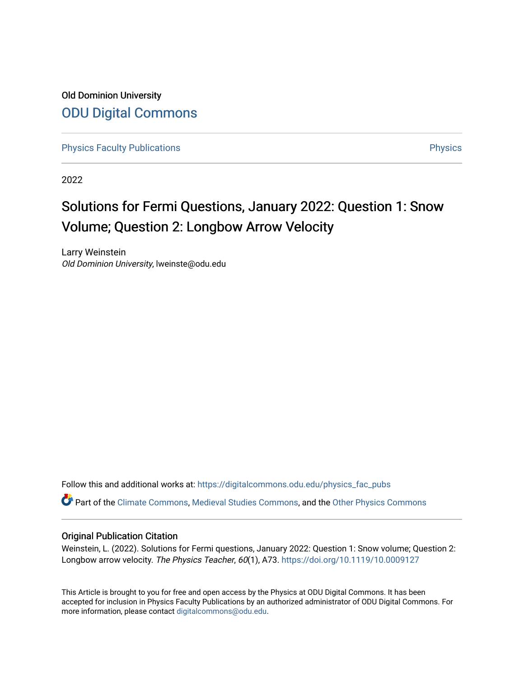Old Dominion University [ODU Digital Commons](https://digitalcommons.odu.edu/) 

[Physics Faculty Publications](https://digitalcommons.odu.edu/physics_fac_pubs) **Physics** [Physics](https://digitalcommons.odu.edu/physics) Physics

2022

# Solutions for Fermi Questions, January 2022: Question 1: Snow Volume; Question 2: Longbow Arrow Velocity

Larry Weinstein Old Dominion University, lweinste@odu.edu

Follow this and additional works at: [https://digitalcommons.odu.edu/physics\\_fac\\_pubs](https://digitalcommons.odu.edu/physics_fac_pubs?utm_source=digitalcommons.odu.edu%2Fphysics_fac_pubs%2F561&utm_medium=PDF&utm_campaign=PDFCoverPages) 

Part of the [Climate Commons,](http://network.bepress.com/hgg/discipline/188?utm_source=digitalcommons.odu.edu%2Fphysics_fac_pubs%2F561&utm_medium=PDF&utm_campaign=PDFCoverPages) [Medieval Studies Commons,](http://network.bepress.com/hgg/discipline/480?utm_source=digitalcommons.odu.edu%2Fphysics_fac_pubs%2F561&utm_medium=PDF&utm_campaign=PDFCoverPages) and the [Other Physics Commons](http://network.bepress.com/hgg/discipline/207?utm_source=digitalcommons.odu.edu%2Fphysics_fac_pubs%2F561&utm_medium=PDF&utm_campaign=PDFCoverPages) 

## Original Publication Citation

Weinstein, L. (2022). Solutions for Fermi questions, January 2022: Question 1: Snow volume; Question 2: Longbow arrow velocity. The Physics Teacher, 60(1), A73.<https://doi.org/10.1119/10.0009127>

This Article is brought to you for free and open access by the Physics at ODU Digital Commons. It has been accepted for inclusion in Physics Faculty Publications by an authorized administrator of ODU Digital Commons. For more information, please contact [digitalcommons@odu.edu.](mailto:digitalcommons@odu.edu)